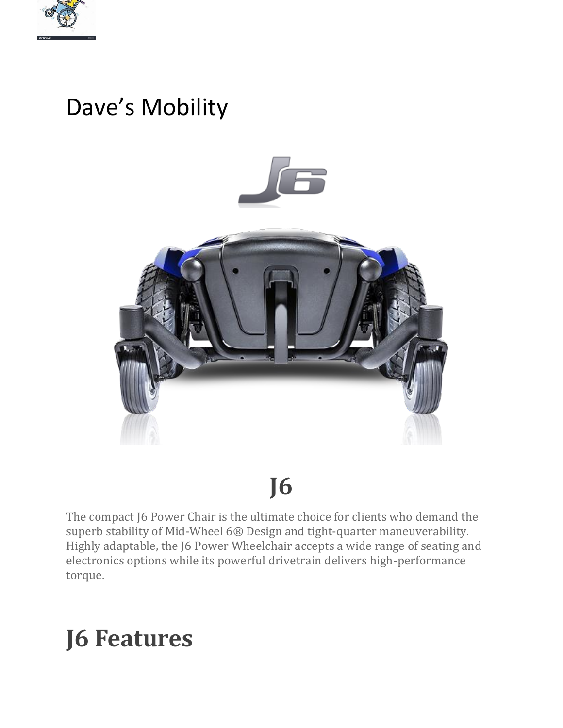

## Dave's Mobility



**J6**

The compact J6 Power Chair is the ultimate choice for clients who demand the superb stability of Mid-Wheel 6® Design and tight-quarter maneuverability. Highly adaptable, the J6 Power Wheelchair accepts a wide range of seating and electronics options while its powerful drivetrain delivers high-performance torque.

## **J6 Features**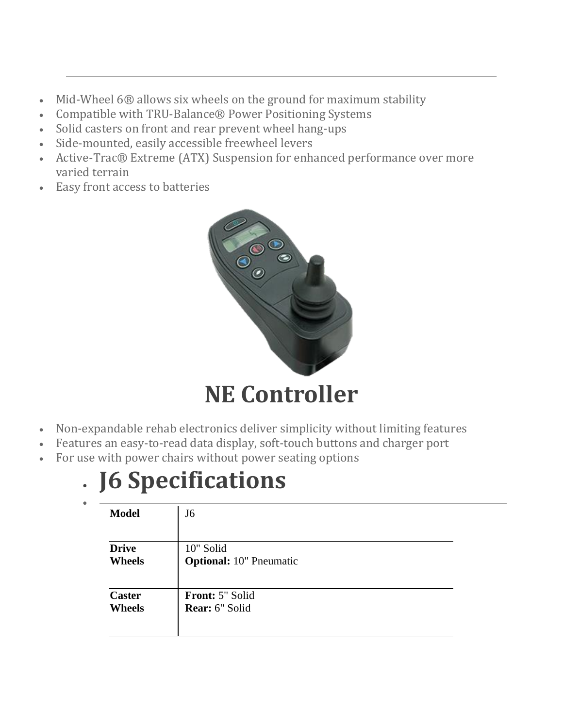- Mid-Wheel 6 $\otimes$  allows six wheels on the ground for maximum stability
- Compatible with TRU-Balance® Power Positioning Systems
- Solid casters on front and rear prevent wheel hang-ups
- Side-mounted, easily accessible freewheel levers
- Active-Trac® Extreme (ATX) Suspension for enhanced performance over more varied terrain
- Easy front access to batteries

•



- Non-expandable rehab electronics deliver simplicity without limiting features
- Features an easy-to-read data display, soft-touch buttons and charger port
- For use with power chairs without power seating options

## • **J6 Specifications**

| J <sub>6</sub>                              |
|---------------------------------------------|
| 10" Solid<br><b>Optional:</b> 10" Pneumatic |
| Front: 5" Solid<br>Rear: 6" Solid           |
|                                             |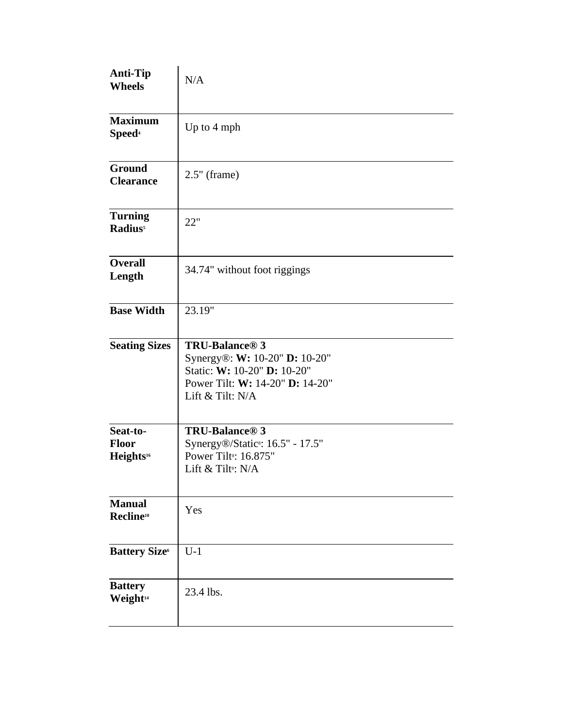| <b>Anti-Tip</b><br><b>Wheels</b>                  | N/A                                                                                                                                               |
|---------------------------------------------------|---------------------------------------------------------------------------------------------------------------------------------------------------|
| <b>Maximum</b><br>Speed <sup>4</sup>              | Up to 4 mph                                                                                                                                       |
| Ground<br><b>Clearance</b>                        | $2.5$ " (frame)                                                                                                                                   |
| <b>Turning</b><br><b>Radius</b> <sup>5</sup>      | 22"                                                                                                                                               |
| <b>Overall</b><br>Length                          | 34.74" without foot riggings                                                                                                                      |
| <b>Base Width</b>                                 | 23.19"                                                                                                                                            |
| <b>Seating Sizes</b>                              | TRU-Balance <sup>®</sup> 3<br>Synergy®: W: 10-20" D: 10-20"<br>Static: W: 10-20" D: 10-20"<br>Power Tilt: W: 14-20" D: 14-20"<br>Lift & Tilt: N/A |
| Seat-to-<br><b>Floor</b><br>Heights <sup>16</sup> | <b>TRU-Balance® 3</b><br>Synergy®/Static <sup>s</sup> : 16.5" - 17.5"<br>Power Tilt <sup>s</sup> : 16.875"<br>Lift & Tilt <sup>8</sup> : N/A      |
| <b>Manual</b><br>Recline <sup>10</sup>            | Yes                                                                                                                                               |
| <b>Battery Size</b>                               | $U-1$                                                                                                                                             |
| <b>Battery</b><br>Weight <sup>14</sup>            | 23.4 lbs.                                                                                                                                         |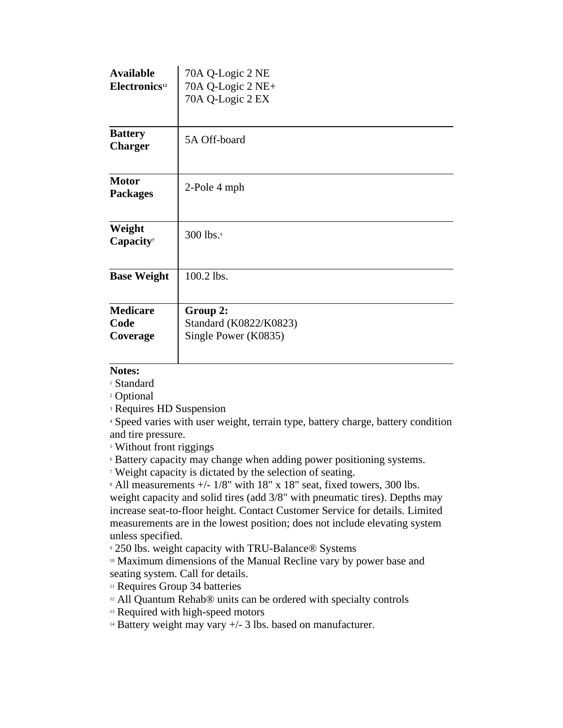| <b>Available</b><br>Electronics <sup>12</sup> | 70A Q-Logic 2 NE<br>70A Q-Logic 2 NE+<br>70A Q-Logic 2 EX  |
|-----------------------------------------------|------------------------------------------------------------|
| <b>Battery</b><br><b>Charger</b>              | 5A Off-board                                               |
| <b>Motor</b><br><b>Packages</b>               | 2-Pole 4 mph                                               |
| Weight<br>Capacity <sup>7</sup>               | 300 lbs. <sup>9</sup>                                      |
| <b>Base Weight</b>                            | 100.2 lbs.                                                 |
| <b>Medicare</b><br>Code<br>Coverage           | Group 2:<br>Standard (K0822/K0823)<br>Single Power (K0835) |

## **Notes:**

<sup>1</sup> Standard

<sup>2</sup> Optional

<sup>3</sup> Requires HD Suspension

<sup>4</sup> Speed varies with user weight, terrain type, battery charge, battery condition and tire pressure.

<sup>5</sup> Without front riggings

<sup>6</sup> Battery capacity may change when adding power positioning systems.

<sup>7</sup> Weight capacity is dictated by the selection of seating.

<sup>8</sup> All measurements +/- 1/8" with 18" x 18" seat, fixed towers, 300 lbs.

weight capacity and solid tires (add 3/8" with pneumatic tires). Depths may increase seat-to-floor height. Contact Customer Service for details. Limited measurements are in the lowest position; does not include elevating system unless specified.

<sup>9</sup> 250 lbs. weight capacity with TRU-Balance® Systems

<sup>10</sup> Maximum dimensions of the Manual Recline vary by power base and seating system. Call for details.

<sup>11</sup> Requires Group 34 batteries

<sup>12</sup> All Quantum Rehab® units can be ordered with specialty controls

<sup>13</sup> Required with high-speed motors

 $14$  Battery weight may vary  $+/- 3$  lbs. based on manufacturer.